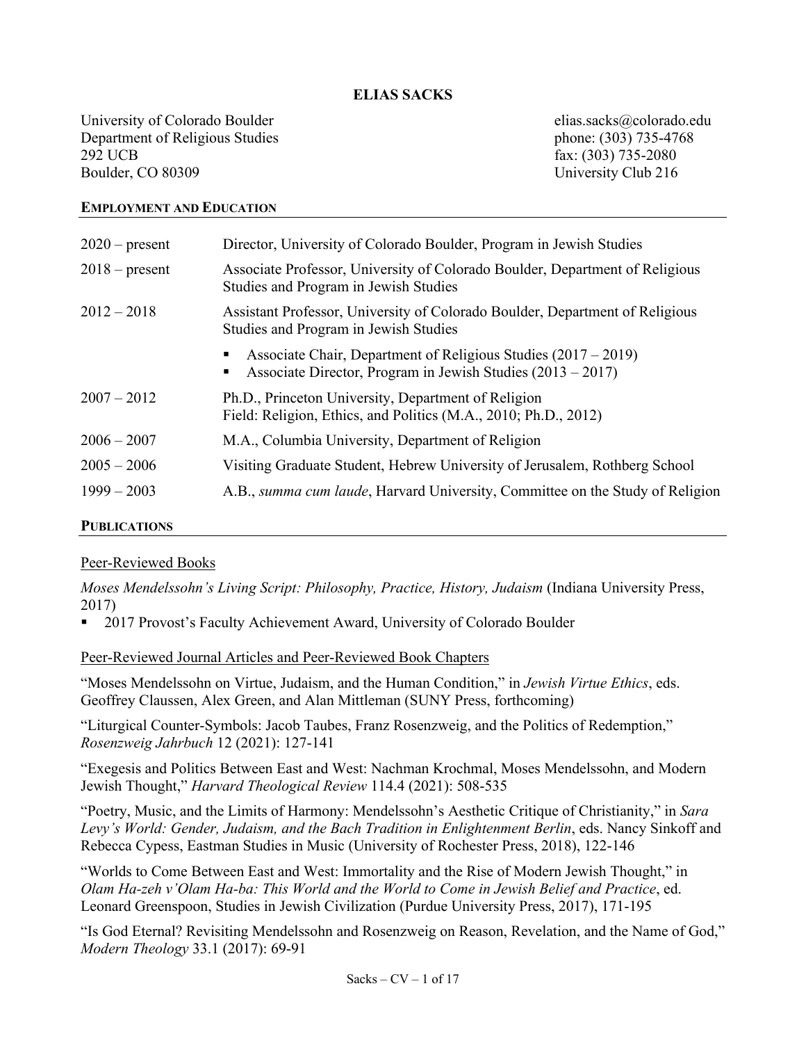#### **ELIAS SACKS**

University of Colorado Boulder elias.sacks@colorado.edu Department of Religious Studies phone: (303) 735-4768 292 UCB fax: (303) 735-2080 Boulder, CO 80309 University Club 216

#### **EMPLOYMENT AND EDUCATION**

| $2020$ – present | Director, University of Colorado Boulder, Program in Jewish Studies                                                                  |
|------------------|--------------------------------------------------------------------------------------------------------------------------------------|
| $2018$ – present | Associate Professor, University of Colorado Boulder, Department of Religious<br>Studies and Program in Jewish Studies                |
| $2012 - 2018$    | Assistant Professor, University of Colorado Boulder, Department of Religious<br>Studies and Program in Jewish Studies                |
|                  | Associate Chair, Department of Religious Studies $(2017 – 2019)$<br>Associate Director, Program in Jewish Studies (2013 – 2017)<br>п |
| $2007 - 2012$    | Ph.D., Princeton University, Department of Religion<br>Field: Religion, Ethics, and Politics (M.A., 2010; Ph.D., 2012)               |
| $2006 - 2007$    | M.A., Columbia University, Department of Religion                                                                                    |
| $2005 - 2006$    | Visiting Graduate Student, Hebrew University of Jerusalem, Rothberg School                                                           |
| $1999 - 2003$    | A.B., <i>summa cum laude</i> , Harvard University, Committee on the Study of Religion                                                |

# **PUBLICATIONS**

#### Peer-Reviewed Books

*Moses Mendelssohn's Living Script: Philosophy, Practice, History, Judaism* (Indiana University Press, 2017)

§ 2017 Provost's Faculty Achievement Award, University of Colorado Boulder

Peer-Reviewed Journal Articles and Peer-Reviewed Book Chapters

"Moses Mendelssohn on Virtue, Judaism, and the Human Condition," in *Jewish Virtue Ethics*, eds. Geoffrey Claussen, Alex Green, and Alan Mittleman (SUNY Press, forthcoming)

"Liturgical Counter-Symbols: Jacob Taubes, Franz Rosenzweig, and the Politics of Redemption," *Rosenzweig Jahrbuch* 12 (2021): 127-141

"Exegesis and Politics Between East and West: Nachman Krochmal, Moses Mendelssohn, and Modern Jewish Thought," *Harvard Theological Review* 114.4 (2021): 508-535

"Poetry, Music, and the Limits of Harmony: Mendelssohn's Aesthetic Critique of Christianity," in *Sara Levy's World: Gender, Judaism, and the Bach Tradition in Enlightenment Berlin*, eds. Nancy Sinkoff and Rebecca Cypess, Eastman Studies in Music (University of Rochester Press, 2018), 122-146

"Worlds to Come Between East and West: Immortality and the Rise of Modern Jewish Thought," in *Olam Ha-zeh v'Olam Ha-ba: This World and the World to Come in Jewish Belief and Practice*, ed. Leonard Greenspoon, Studies in Jewish Civilization (Purdue University Press, 2017), 171-195

"Is God Eternal? Revisiting Mendelssohn and Rosenzweig on Reason, Revelation, and the Name of God," *Modern Theology* 33.1 (2017): 69-91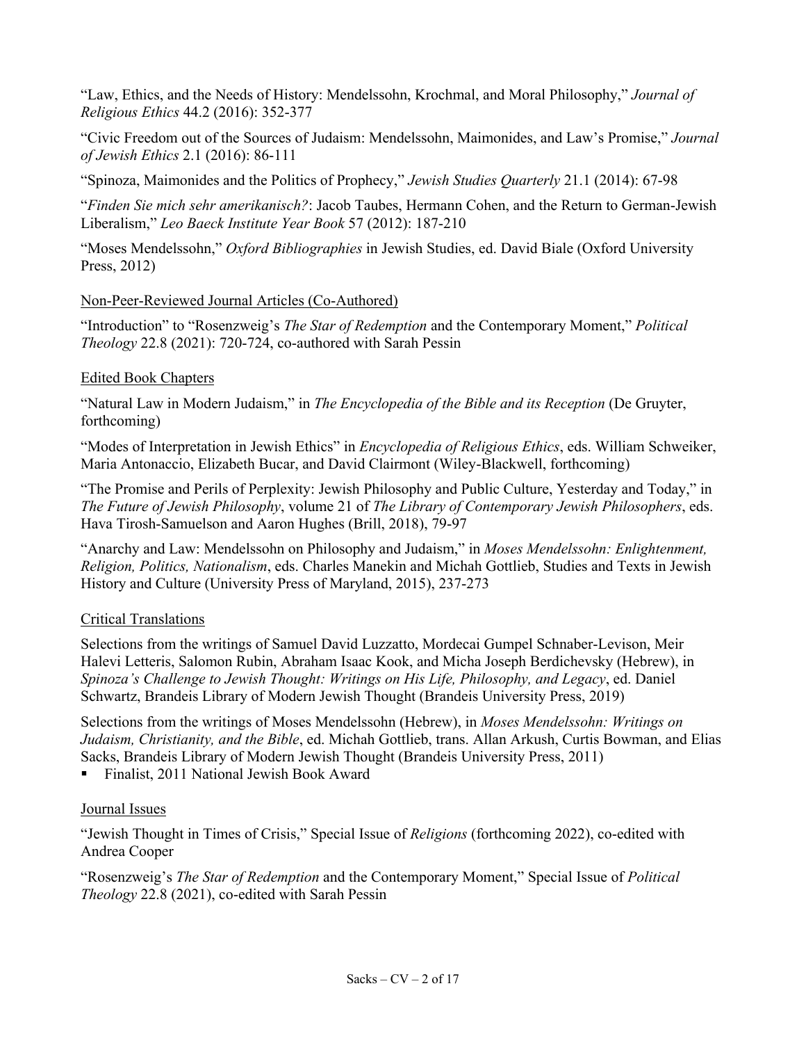"Law, Ethics, and the Needs of History: Mendelssohn, Krochmal, and Moral Philosophy," *Journal of Religious Ethics* 44.2 (2016): 352-377

"Civic Freedom out of the Sources of Judaism: Mendelssohn, Maimonides, and Law's Promise," *Journal of Jewish Ethics* 2.1 (2016): 86-111

"Spinoza, Maimonides and the Politics of Prophecy," *Jewish Studies Quarterly* 21.1 (2014): 67-98

"*Finden Sie mich sehr amerikanisch?*: Jacob Taubes, Hermann Cohen, and the Return to German-Jewish Liberalism," *Leo Baeck Institute Year Book* 57 (2012): 187-210

"Moses Mendelssohn," *Oxford Bibliographies* in Jewish Studies, ed. David Biale (Oxford University Press, 2012)

#### Non-Peer-Reviewed Journal Articles (Co-Authored)

"Introduction" to "Rosenzweig's *The Star of Redemption* and the Contemporary Moment," *Political Theology* 22.8 (2021): 720-724, co-authored with Sarah Pessin

#### Edited Book Chapters

"Natural Law in Modern Judaism," in *The Encyclopedia of the Bible and its Reception* (De Gruyter, forthcoming)

"Modes of Interpretation in Jewish Ethics" in *Encyclopedia of Religious Ethics*, eds. William Schweiker, Maria Antonaccio, Elizabeth Bucar, and David Clairmont (Wiley-Blackwell, forthcoming)

"The Promise and Perils of Perplexity: Jewish Philosophy and Public Culture, Yesterday and Today," in *The Future of Jewish Philosophy*, volume 21 of *The Library of Contemporary Jewish Philosophers*, eds. Hava Tirosh-Samuelson and Aaron Hughes (Brill, 2018), 79-97

"Anarchy and Law: Mendelssohn on Philosophy and Judaism," in *Moses Mendelssohn: Enlightenment, Religion, Politics, Nationalism*, eds. Charles Manekin and Michah Gottlieb, Studies and Texts in Jewish History and Culture (University Press of Maryland, 2015), 237-273

# Critical Translations

Selections from the writings of Samuel David Luzzatto, Mordecai Gumpel Schnaber-Levison, Meir Halevi Letteris, Salomon Rubin, Abraham Isaac Kook, and Micha Joseph Berdichevsky (Hebrew), in *Spinoza's Challenge to Jewish Thought: Writings on His Life, Philosophy, and Legacy*, ed. Daniel Schwartz, Brandeis Library of Modern Jewish Thought (Brandeis University Press, 2019)

Selections from the writings of Moses Mendelssohn (Hebrew), in *Moses Mendelssohn: Writings on Judaism, Christianity, and the Bible*, ed. Michah Gottlieb, trans. Allan Arkush, Curtis Bowman, and Elias Sacks, Brandeis Library of Modern Jewish Thought (Brandeis University Press, 2011)

■ Finalist, 2011 National Jewish Book Award

# Journal Issues

"Jewish Thought in Times of Crisis," Special Issue of *Religions* (forthcoming 2022), co-edited with Andrea Cooper

"Rosenzweig's *The Star of Redemption* and the Contemporary Moment," Special Issue of *Political Theology* 22.8 (2021), co-edited with Sarah Pessin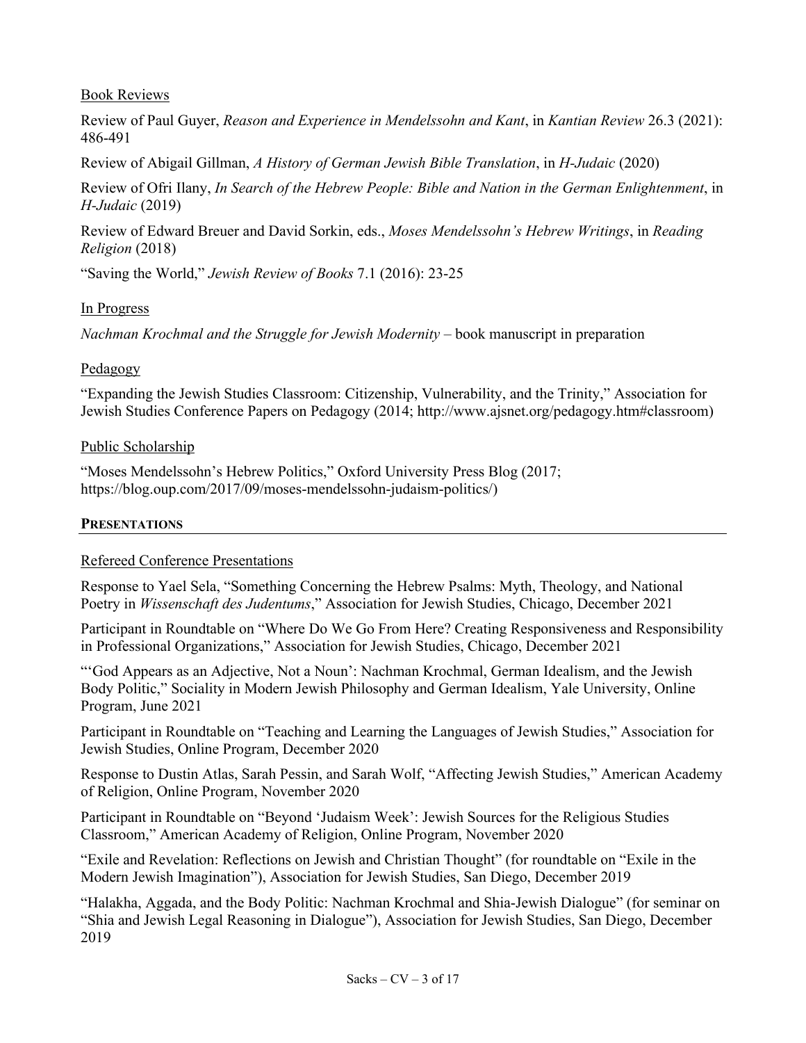#### Book Reviews

Review of Paul Guyer, *Reason and Experience in Mendelssohn and Kant*, in *Kantian Review* 26.3 (2021): 486-491

Review of Abigail Gillman, *A History of German Jewish Bible Translation*, in *H-Judaic* (2020)

Review of Ofri Ilany, *In Search of the Hebrew People: Bible and Nation in the German Enlightenment*, in *H-Judaic* (2019)

Review of Edward Breuer and David Sorkin, eds., *Moses Mendelssohn's Hebrew Writings*, in *Reading Religion* (2018)

"Saving the World," *Jewish Review of Books* 7.1 (2016): 23-25

#### In Progress

*Nachman Krochmal and the Struggle for Jewish Modernity* – book manuscript in preparation

#### Pedagogy

"Expanding the Jewish Studies Classroom: Citizenship, Vulnerability, and the Trinity," Association for Jewish Studies Conference Papers on Pedagogy (2014; http://www.ajsnet.org/pedagogy.htm#classroom)

#### Public Scholarship

"Moses Mendelssohn's Hebrew Politics," Oxford University Press Blog (2017; https://blog.oup.com/2017/09/moses-mendelssohn-judaism-politics/)

#### **PRESENTATIONS**

# Refereed Conference Presentations

Response to Yael Sela, "Something Concerning the Hebrew Psalms: Myth, Theology, and National Poetry in *Wissenschaft des Judentums*," Association for Jewish Studies, Chicago, December 2021

Participant in Roundtable on "Where Do We Go From Here? Creating Responsiveness and Responsibility in Professional Organizations," Association for Jewish Studies, Chicago, December 2021

"'God Appears as an Adjective, Not a Noun': Nachman Krochmal, German Idealism, and the Jewish Body Politic," Sociality in Modern Jewish Philosophy and German Idealism, Yale University, Online Program, June 2021

Participant in Roundtable on "Teaching and Learning the Languages of Jewish Studies," Association for Jewish Studies, Online Program, December 2020

Response to Dustin Atlas, Sarah Pessin, and Sarah Wolf, "Affecting Jewish Studies," American Academy of Religion, Online Program, November 2020

Participant in Roundtable on "Beyond 'Judaism Week': Jewish Sources for the Religious Studies Classroom," American Academy of Religion, Online Program, November 2020

"Exile and Revelation: Reflections on Jewish and Christian Thought" (for roundtable on "Exile in the Modern Jewish Imagination"), Association for Jewish Studies, San Diego, December 2019

"Halakha, Aggada, and the Body Politic: Nachman Krochmal and Shia-Jewish Dialogue" (for seminar on "Shia and Jewish Legal Reasoning in Dialogue"), Association for Jewish Studies, San Diego, December 2019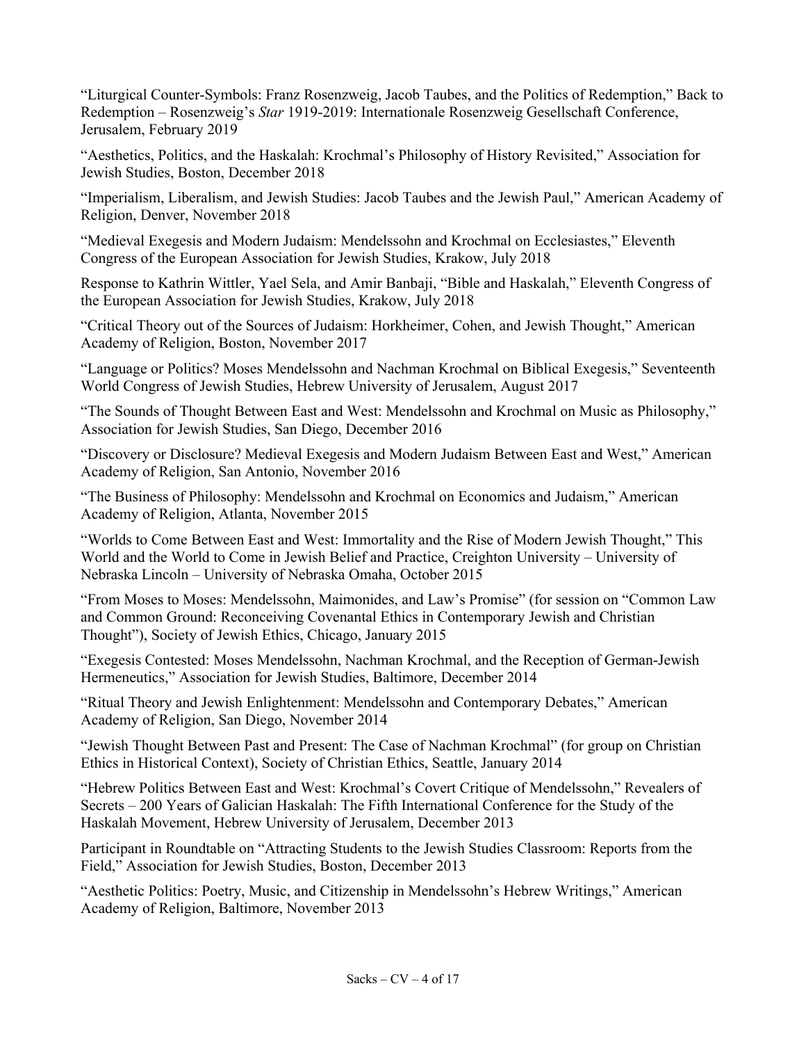"Liturgical Counter-Symbols: Franz Rosenzweig, Jacob Taubes, and the Politics of Redemption," Back to Redemption – Rosenzweig's *Star* 1919-2019: Internationale Rosenzweig Gesellschaft Conference, Jerusalem, February 2019

"Aesthetics, Politics, and the Haskalah: Krochmal's Philosophy of History Revisited," Association for Jewish Studies, Boston, December 2018

"Imperialism, Liberalism, and Jewish Studies: Jacob Taubes and the Jewish Paul," American Academy of Religion, Denver, November 2018

"Medieval Exegesis and Modern Judaism: Mendelssohn and Krochmal on Ecclesiastes," Eleventh Congress of the European Association for Jewish Studies, Krakow, July 2018

Response to Kathrin Wittler, Yael Sela, and Amir Banbaji, "Bible and Haskalah," Eleventh Congress of the European Association for Jewish Studies, Krakow, July 2018

"Critical Theory out of the Sources of Judaism: Horkheimer, Cohen, and Jewish Thought," American Academy of Religion, Boston, November 2017

"Language or Politics? Moses Mendelssohn and Nachman Krochmal on Biblical Exegesis," Seventeenth World Congress of Jewish Studies, Hebrew University of Jerusalem, August 2017

"The Sounds of Thought Between East and West: Mendelssohn and Krochmal on Music as Philosophy," Association for Jewish Studies, San Diego, December 2016

"Discovery or Disclosure? Medieval Exegesis and Modern Judaism Between East and West," American Academy of Religion, San Antonio, November 2016

"The Business of Philosophy: Mendelssohn and Krochmal on Economics and Judaism," American Academy of Religion, Atlanta, November 2015

"Worlds to Come Between East and West: Immortality and the Rise of Modern Jewish Thought," This World and the World to Come in Jewish Belief and Practice, Creighton University – University of Nebraska Lincoln – University of Nebraska Omaha, October 2015

"From Moses to Moses: Mendelssohn, Maimonides, and Law's Promise" (for session on "Common Law and Common Ground: Reconceiving Covenantal Ethics in Contemporary Jewish and Christian Thought"), Society of Jewish Ethics, Chicago, January 2015

"Exegesis Contested: Moses Mendelssohn, Nachman Krochmal, and the Reception of German-Jewish Hermeneutics," Association for Jewish Studies, Baltimore, December 2014

"Ritual Theory and Jewish Enlightenment: Mendelssohn and Contemporary Debates," American Academy of Religion, San Diego, November 2014

"Jewish Thought Between Past and Present: The Case of Nachman Krochmal" (for group on Christian Ethics in Historical Context), Society of Christian Ethics, Seattle, January 2014

"Hebrew Politics Between East and West: Krochmal's Covert Critique of Mendelssohn," Revealers of Secrets – 200 Years of Galician Haskalah: The Fifth International Conference for the Study of the Haskalah Movement, Hebrew University of Jerusalem, December 2013

Participant in Roundtable on "Attracting Students to the Jewish Studies Classroom: Reports from the Field," Association for Jewish Studies, Boston, December 2013

"Aesthetic Politics: Poetry, Music, and Citizenship in Mendelssohn's Hebrew Writings," American Academy of Religion, Baltimore, November 2013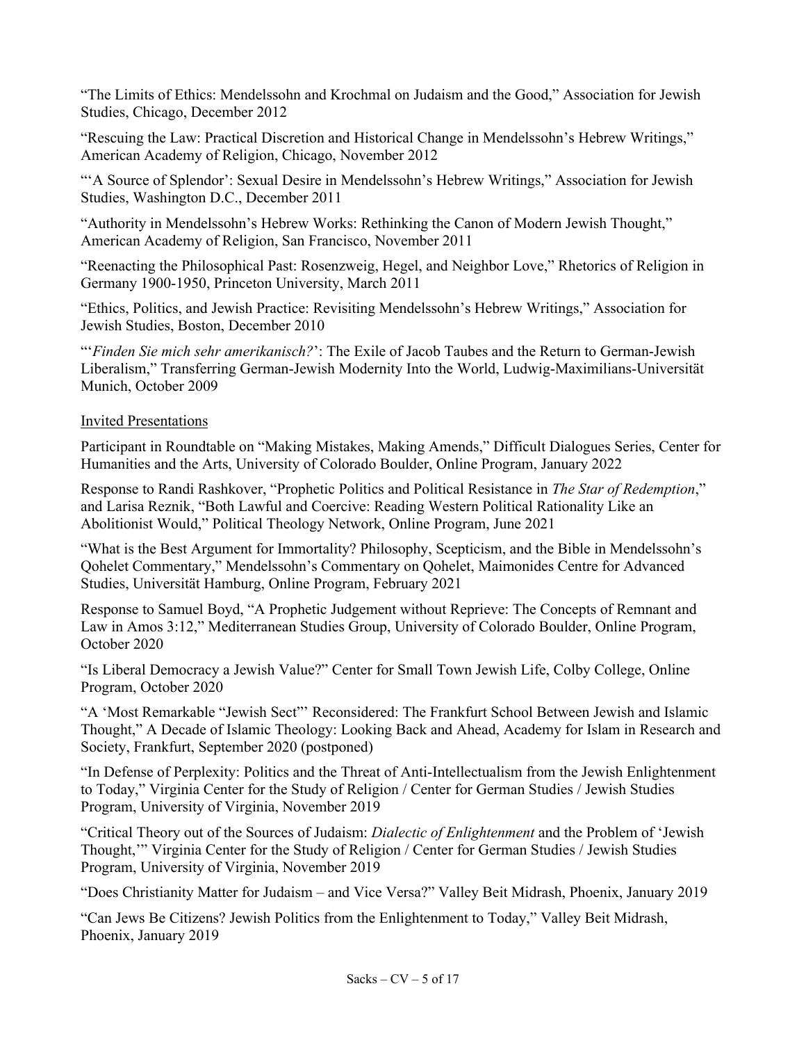"The Limits of Ethics: Mendelssohn and Krochmal on Judaism and the Good," Association for Jewish Studies, Chicago, December 2012

"Rescuing the Law: Practical Discretion and Historical Change in Mendelssohn's Hebrew Writings," American Academy of Religion, Chicago, November 2012

"'A Source of Splendor': Sexual Desire in Mendelssohn's Hebrew Writings," Association for Jewish Studies, Washington D.C., December 2011

"Authority in Mendelssohn's Hebrew Works: Rethinking the Canon of Modern Jewish Thought," American Academy of Religion, San Francisco, November 2011

"Reenacting the Philosophical Past: Rosenzweig, Hegel, and Neighbor Love," Rhetorics of Religion in Germany 1900-1950, Princeton University, March 2011

"Ethics, Politics, and Jewish Practice: Revisiting Mendelssohn's Hebrew Writings," Association for Jewish Studies, Boston, December 2010

"'*Finden Sie mich sehr amerikanisch?*': The Exile of Jacob Taubes and the Return to German-Jewish Liberalism," Transferring German-Jewish Modernity Into the World, Ludwig-Maximilians-Universität Munich, October 2009

#### Invited Presentations

Participant in Roundtable on "Making Mistakes, Making Amends," Difficult Dialogues Series, Center for Humanities and the Arts, University of Colorado Boulder, Online Program, January 2022

Response to Randi Rashkover, "Prophetic Politics and Political Resistance in *The Star of Redemption*," and Larisa Reznik, "Both Lawful and Coercive: Reading Western Political Rationality Like an Abolitionist Would," Political Theology Network, Online Program, June 2021

"What is the Best Argument for Immortality? Philosophy, Scepticism, and the Bible in Mendelssohn's Qohelet Commentary," Mendelssohn's Commentary on Qohelet, Maimonides Centre for Advanced Studies, Universität Hamburg, Online Program, February 2021

Response to Samuel Boyd, "A Prophetic Judgement without Reprieve: The Concepts of Remnant and Law in Amos 3:12," Mediterranean Studies Group, University of Colorado Boulder, Online Program, October 2020

"Is Liberal Democracy a Jewish Value?" Center for Small Town Jewish Life, Colby College, Online Program, October 2020

"A 'Most Remarkable "Jewish Sect"' Reconsidered: The Frankfurt School Between Jewish and Islamic Thought," A Decade of Islamic Theology: Looking Back and Ahead, Academy for Islam in Research and Society, Frankfurt, September 2020 (postponed)

"In Defense of Perplexity: Politics and the Threat of Anti-Intellectualism from the Jewish Enlightenment to Today," Virginia Center for the Study of Religion / Center for German Studies / Jewish Studies Program, University of Virginia, November 2019

"Critical Theory out of the Sources of Judaism: *Dialectic of Enlightenment* and the Problem of 'Jewish Thought,'" Virginia Center for the Study of Religion / Center for German Studies / Jewish Studies Program, University of Virginia, November 2019

"Does Christianity Matter for Judaism – and Vice Versa?" Valley Beit Midrash, Phoenix, January 2019

"Can Jews Be Citizens? Jewish Politics from the Enlightenment to Today," Valley Beit Midrash, Phoenix, January 2019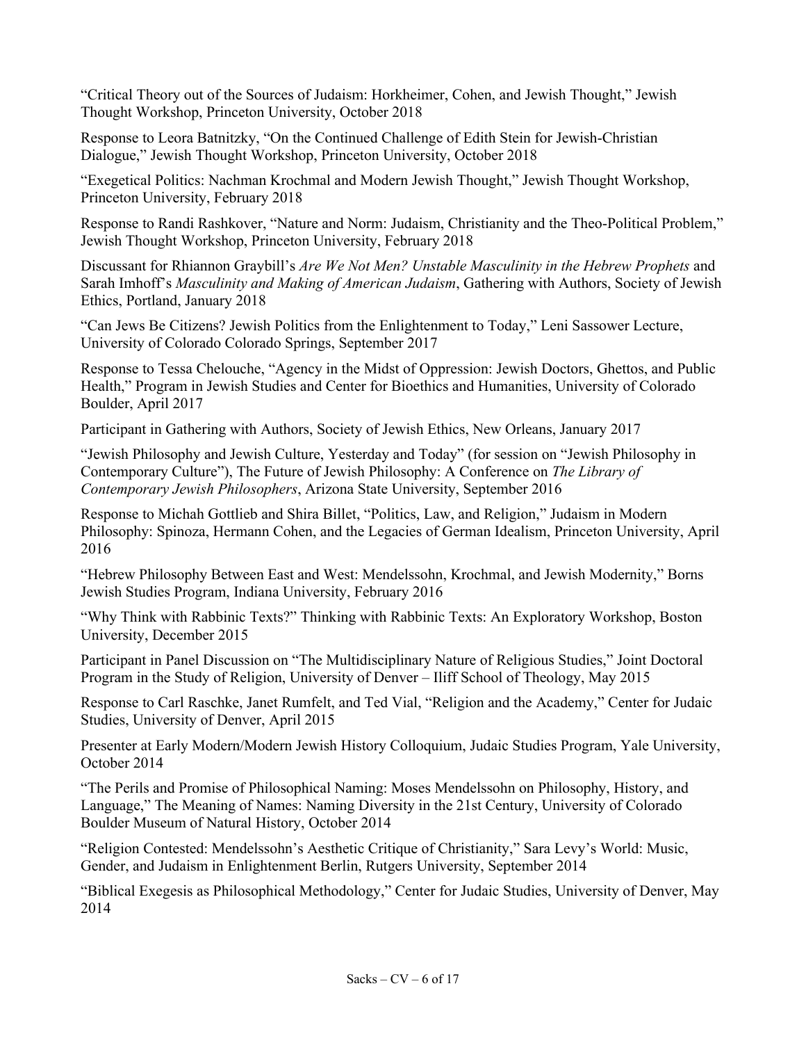"Critical Theory out of the Sources of Judaism: Horkheimer, Cohen, and Jewish Thought," Jewish Thought Workshop, Princeton University, October 2018

Response to Leora Batnitzky, "On the Continued Challenge of Edith Stein for Jewish-Christian Dialogue," Jewish Thought Workshop, Princeton University, October 2018

"Exegetical Politics: Nachman Krochmal and Modern Jewish Thought," Jewish Thought Workshop, Princeton University, February 2018

Response to Randi Rashkover, "Nature and Norm: Judaism, Christianity and the Theo-Political Problem," Jewish Thought Workshop, Princeton University, February 2018

Discussant for Rhiannon Graybill's *Are We Not Men? Unstable Masculinity in the Hebrew Prophets* and Sarah Imhoff's *Masculinity and Making of American Judaism*, Gathering with Authors, Society of Jewish Ethics, Portland, January 2018

"Can Jews Be Citizens? Jewish Politics from the Enlightenment to Today," Leni Sassower Lecture, University of Colorado Colorado Springs, September 2017

Response to Tessa Chelouche, "Agency in the Midst of Oppression: Jewish Doctors, Ghettos, and Public Health," Program in Jewish Studies and Center for Bioethics and Humanities, University of Colorado Boulder, April 2017

Participant in Gathering with Authors, Society of Jewish Ethics, New Orleans, January 2017

"Jewish Philosophy and Jewish Culture, Yesterday and Today" (for session on "Jewish Philosophy in Contemporary Culture"), The Future of Jewish Philosophy: A Conference on *The Library of Contemporary Jewish Philosophers*, Arizona State University, September 2016

Response to Michah Gottlieb and Shira Billet, "Politics, Law, and Religion," Judaism in Modern Philosophy: Spinoza, Hermann Cohen, and the Legacies of German Idealism, Princeton University, April 2016

"Hebrew Philosophy Between East and West: Mendelssohn, Krochmal, and Jewish Modernity," Borns Jewish Studies Program, Indiana University, February 2016

"Why Think with Rabbinic Texts?" Thinking with Rabbinic Texts: An Exploratory Workshop, Boston University, December 2015

Participant in Panel Discussion on "The Multidisciplinary Nature of Religious Studies," Joint Doctoral Program in the Study of Religion, University of Denver – Iliff School of Theology, May 2015

Response to Carl Raschke, Janet Rumfelt, and Ted Vial, "Religion and the Academy," Center for Judaic Studies, University of Denver, April 2015

Presenter at Early Modern/Modern Jewish History Colloquium, Judaic Studies Program, Yale University, October 2014

"The Perils and Promise of Philosophical Naming: Moses Mendelssohn on Philosophy, History, and Language," The Meaning of Names: Naming Diversity in the 21st Century, University of Colorado Boulder Museum of Natural History, October 2014

"Religion Contested: Mendelssohn's Aesthetic Critique of Christianity," Sara Levy's World: Music, Gender, and Judaism in Enlightenment Berlin, Rutgers University, September 2014

"Biblical Exegesis as Philosophical Methodology," Center for Judaic Studies, University of Denver, May 2014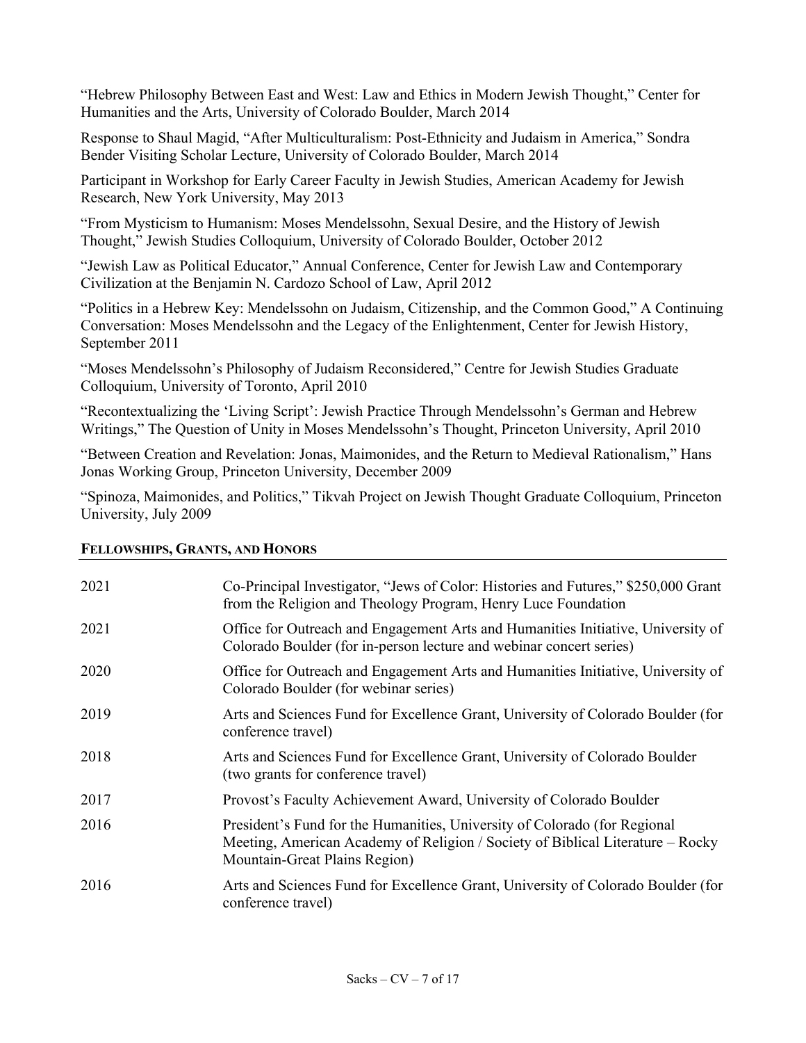"Hebrew Philosophy Between East and West: Law and Ethics in Modern Jewish Thought," Center for Humanities and the Arts, University of Colorado Boulder, March 2014

Response to Shaul Magid, "After Multiculturalism: Post-Ethnicity and Judaism in America," Sondra Bender Visiting Scholar Lecture, University of Colorado Boulder, March 2014

Participant in Workshop for Early Career Faculty in Jewish Studies, American Academy for Jewish Research, New York University, May 2013

"From Mysticism to Humanism: Moses Mendelssohn, Sexual Desire, and the History of Jewish Thought," Jewish Studies Colloquium, University of Colorado Boulder, October 2012

"Jewish Law as Political Educator," Annual Conference, Center for Jewish Law and Contemporary Civilization at the Benjamin N. Cardozo School of Law, April 2012

"Politics in a Hebrew Key: Mendelssohn on Judaism, Citizenship, and the Common Good," A Continuing Conversation: Moses Mendelssohn and the Legacy of the Enlightenment, Center for Jewish History, September 2011

"Moses Mendelssohn's Philosophy of Judaism Reconsidered," Centre for Jewish Studies Graduate Colloquium, University of Toronto, April 2010

"Recontextualizing the 'Living Script': Jewish Practice Through Mendelssohn's German and Hebrew Writings," The Question of Unity in Moses Mendelssohn's Thought, Princeton University, April 2010

"Between Creation and Revelation: Jonas, Maimonides, and the Return to Medieval Rationalism," Hans Jonas Working Group, Princeton University, December 2009

"Spinoza, Maimonides, and Politics," Tikvah Project on Jewish Thought Graduate Colloquium, Princeton University, July 2009

| 2021 | Co-Principal Investigator, "Jews of Color: Histories and Futures," \$250,000 Grant<br>from the Religion and Theology Program, Henry Luce Foundation                                          |
|------|----------------------------------------------------------------------------------------------------------------------------------------------------------------------------------------------|
| 2021 | Office for Outreach and Engagement Arts and Humanities Initiative, University of<br>Colorado Boulder (for in-person lecture and webinar concert series)                                      |
| 2020 | Office for Outreach and Engagement Arts and Humanities Initiative, University of<br>Colorado Boulder (for webinar series)                                                                    |
| 2019 | Arts and Sciences Fund for Excellence Grant, University of Colorado Boulder (for<br>conference travel)                                                                                       |
| 2018 | Arts and Sciences Fund for Excellence Grant, University of Colorado Boulder<br>(two grants for conference travel)                                                                            |
| 2017 | Provost's Faculty Achievement Award, University of Colorado Boulder                                                                                                                          |
| 2016 | President's Fund for the Humanities, University of Colorado (for Regional<br>Meeting, American Academy of Religion / Society of Biblical Literature - Rocky<br>Mountain-Great Plains Region) |
| 2016 | Arts and Sciences Fund for Excellence Grant, University of Colorado Boulder (for<br>conference travel)                                                                                       |
|      |                                                                                                                                                                                              |

#### **FELLOWSHIPS, GRANTS, AND HONORS**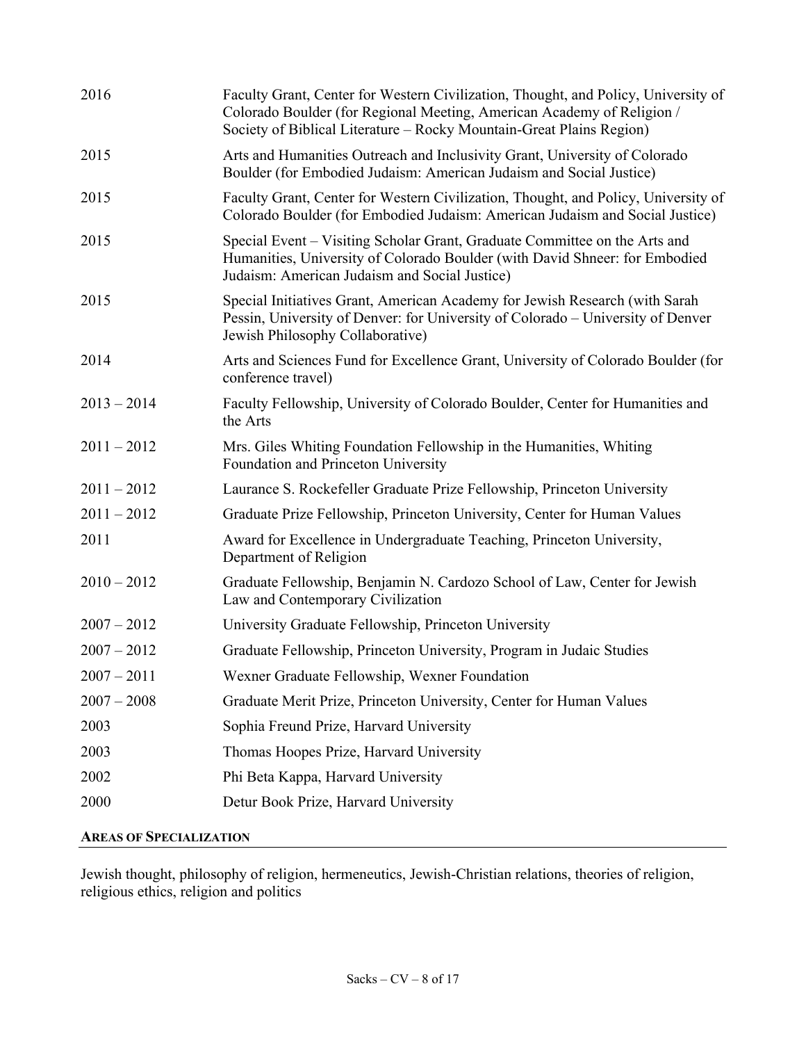| Faculty Grant, Center for Western Civilization, Thought, and Policy, University of<br>Colorado Boulder (for Regional Meeting, American Academy of Religion /<br>Society of Biblical Literature - Rocky Mountain-Great Plains Region) |
|--------------------------------------------------------------------------------------------------------------------------------------------------------------------------------------------------------------------------------------|
| Arts and Humanities Outreach and Inclusivity Grant, University of Colorado<br>Boulder (for Embodied Judaism: American Judaism and Social Justice)                                                                                    |
| Faculty Grant, Center for Western Civilization, Thought, and Policy, University of<br>Colorado Boulder (for Embodied Judaism: American Judaism and Social Justice)                                                                   |
| Special Event – Visiting Scholar Grant, Graduate Committee on the Arts and<br>Humanities, University of Colorado Boulder (with David Shneer: for Embodied<br>Judaism: American Judaism and Social Justice)                           |
| Special Initiatives Grant, American Academy for Jewish Research (with Sarah<br>Pessin, University of Denver: for University of Colorado - University of Denver<br>Jewish Philosophy Collaborative)                                   |
| Arts and Sciences Fund for Excellence Grant, University of Colorado Boulder (for<br>conference travel)                                                                                                                               |
| Faculty Fellowship, University of Colorado Boulder, Center for Humanities and<br>the Arts                                                                                                                                            |
| Mrs. Giles Whiting Foundation Fellowship in the Humanities, Whiting<br>Foundation and Princeton University                                                                                                                           |
| Laurance S. Rockefeller Graduate Prize Fellowship, Princeton University                                                                                                                                                              |
| Graduate Prize Fellowship, Princeton University, Center for Human Values                                                                                                                                                             |
| Award for Excellence in Undergraduate Teaching, Princeton University,<br>Department of Religion                                                                                                                                      |
| Graduate Fellowship, Benjamin N. Cardozo School of Law, Center for Jewish<br>Law and Contemporary Civilization                                                                                                                       |
| University Graduate Fellowship, Princeton University                                                                                                                                                                                 |
| Graduate Fellowship, Princeton University, Program in Judaic Studies                                                                                                                                                                 |
| Wexner Graduate Fellowship, Wexner Foundation                                                                                                                                                                                        |
| Graduate Merit Prize, Princeton University, Center for Human Values                                                                                                                                                                  |
| Sophia Freund Prize, Harvard University                                                                                                                                                                                              |
| Thomas Hoopes Prize, Harvard University                                                                                                                                                                                              |
| Phi Beta Kappa, Harvard University                                                                                                                                                                                                   |
| Detur Book Prize, Harvard University                                                                                                                                                                                                 |
|                                                                                                                                                                                                                                      |

# **AREAS OF SPECIALIZATION**

Jewish thought, philosophy of religion, hermeneutics, Jewish-Christian relations, theories of religion, religious ethics, religion and politics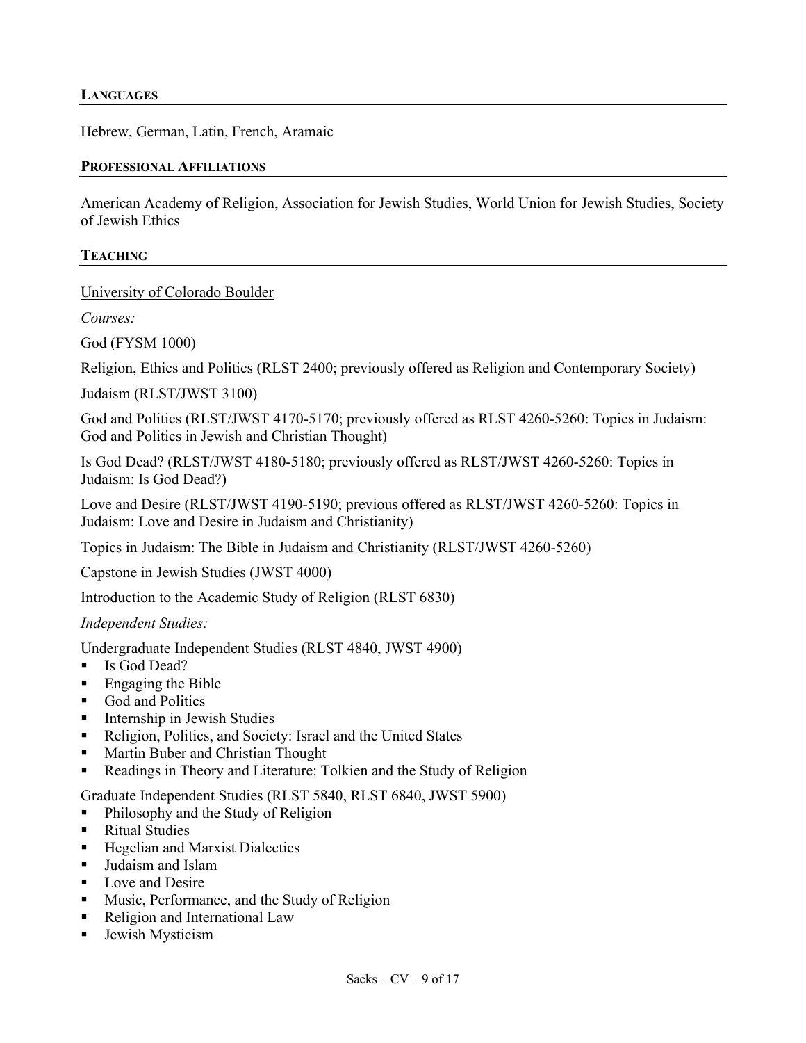#### **LANGUAGES**

Hebrew, German, Latin, French, Aramaic

#### **PROFESSIONAL AFFILIATIONS**

American Academy of Religion, Association for Jewish Studies, World Union for Jewish Studies, Society of Jewish Ethics

#### **TEACHING**

University of Colorado Boulder

*Courses:*

God (FYSM 1000)

Religion, Ethics and Politics (RLST 2400; previously offered as Religion and Contemporary Society)

Judaism (RLST/JWST 3100)

God and Politics (RLST/JWST 4170-5170; previously offered as RLST 4260-5260: Topics in Judaism: God and Politics in Jewish and Christian Thought)

Is God Dead? (RLST/JWST 4180-5180; previously offered as RLST/JWST 4260-5260: Topics in Judaism: Is God Dead?)

Love and Desire (RLST/JWST 4190-5190; previous offered as RLST/JWST 4260-5260: Topics in Judaism: Love and Desire in Judaism and Christianity)

Topics in Judaism: The Bible in Judaism and Christianity (RLST/JWST 4260-5260)

Capstone in Jewish Studies (JWST 4000)

Introduction to the Academic Study of Religion (RLST 6830)

*Independent Studies:*

Undergraduate Independent Studies (RLST 4840, JWST 4900)

- Is God Dead?
- Engaging the Bible
- God and Politics
- Internship in Jewish Studies
- Religion, Politics, and Society: Israel and the United States
- Martin Buber and Christian Thought
- Readings in Theory and Literature: Tolkien and the Study of Religion

Graduate Independent Studies (RLST 5840, RLST 6840, JWST 5900)

- Philosophy and the Study of Religion
- Ritual Studies
- Hegelian and Marxist Dialectics
- Judaism and Islam
- Love and Desire
- Music, Performance, and the Study of Religion
- Religion and International Law
- Jewish Mysticism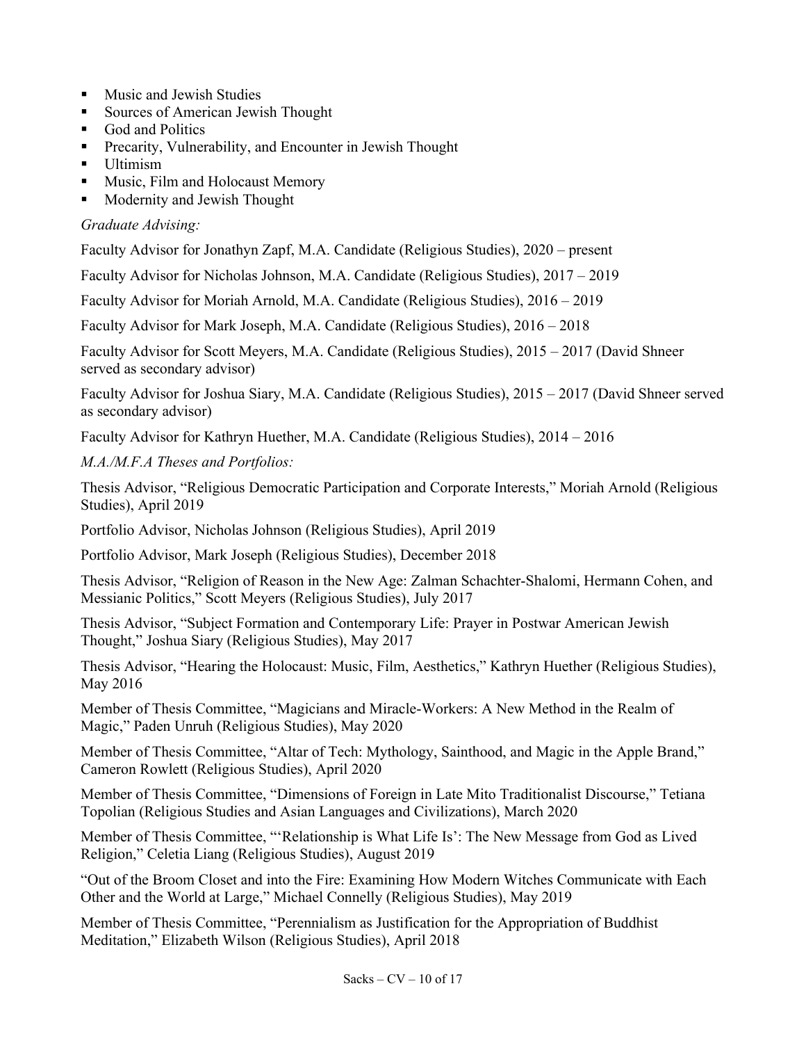- Music and Jewish Studies
- Sources of American Jewish Thought
- God and Politics
- Precarity, Vulnerability, and Encounter in Jewish Thought
- Ultimism
- § Music, Film and Holocaust Memory
- Modernity and Jewish Thought

# *Graduate Advising:*

Faculty Advisor for Jonathyn Zapf, M.A. Candidate (Religious Studies), 2020 – present

Faculty Advisor for Nicholas Johnson, M.A. Candidate (Religious Studies), 2017 – 2019

Faculty Advisor for Moriah Arnold, M.A. Candidate (Religious Studies), 2016 – 2019

Faculty Advisor for Mark Joseph, M.A. Candidate (Religious Studies), 2016 – 2018

Faculty Advisor for Scott Meyers, M.A. Candidate (Religious Studies), 2015 – 2017 (David Shneer served as secondary advisor)

Faculty Advisor for Joshua Siary, M.A. Candidate (Religious Studies), 2015 – 2017 (David Shneer served as secondary advisor)

Faculty Advisor for Kathryn Huether, M.A. Candidate (Religious Studies), 2014 – 2016

*M.A./M.F.A Theses and Portfolios:*

Thesis Advisor, "Religious Democratic Participation and Corporate Interests," Moriah Arnold (Religious Studies), April 2019

Portfolio Advisor, Nicholas Johnson (Religious Studies), April 2019

Portfolio Advisor, Mark Joseph (Religious Studies), December 2018

Thesis Advisor, "Religion of Reason in the New Age: Zalman Schachter-Shalomi, Hermann Cohen, and Messianic Politics," Scott Meyers (Religious Studies), July 2017

Thesis Advisor, "Subject Formation and Contemporary Life: Prayer in Postwar American Jewish Thought," Joshua Siary (Religious Studies), May 2017

Thesis Advisor, "Hearing the Holocaust: Music, Film, Aesthetics," Kathryn Huether (Religious Studies), May 2016

Member of Thesis Committee, "Magicians and Miracle-Workers: A New Method in the Realm of Magic," Paden Unruh (Religious Studies), May 2020

Member of Thesis Committee, "Altar of Tech: Mythology, Sainthood, and Magic in the Apple Brand," Cameron Rowlett (Religious Studies), April 2020

Member of Thesis Committee, "Dimensions of Foreign in Late Mito Traditionalist Discourse," Tetiana Topolian (Religious Studies and Asian Languages and Civilizations), March 2020

Member of Thesis Committee, "'Relationship is What Life Is': The New Message from God as Lived Religion," Celetia Liang (Religious Studies), August 2019

"Out of the Broom Closet and into the Fire: Examining How Modern Witches Communicate with Each Other and the World at Large," Michael Connelly (Religious Studies), May 2019

Member of Thesis Committee, "Perennialism as Justification for the Appropriation of Buddhist Meditation," Elizabeth Wilson (Religious Studies), April 2018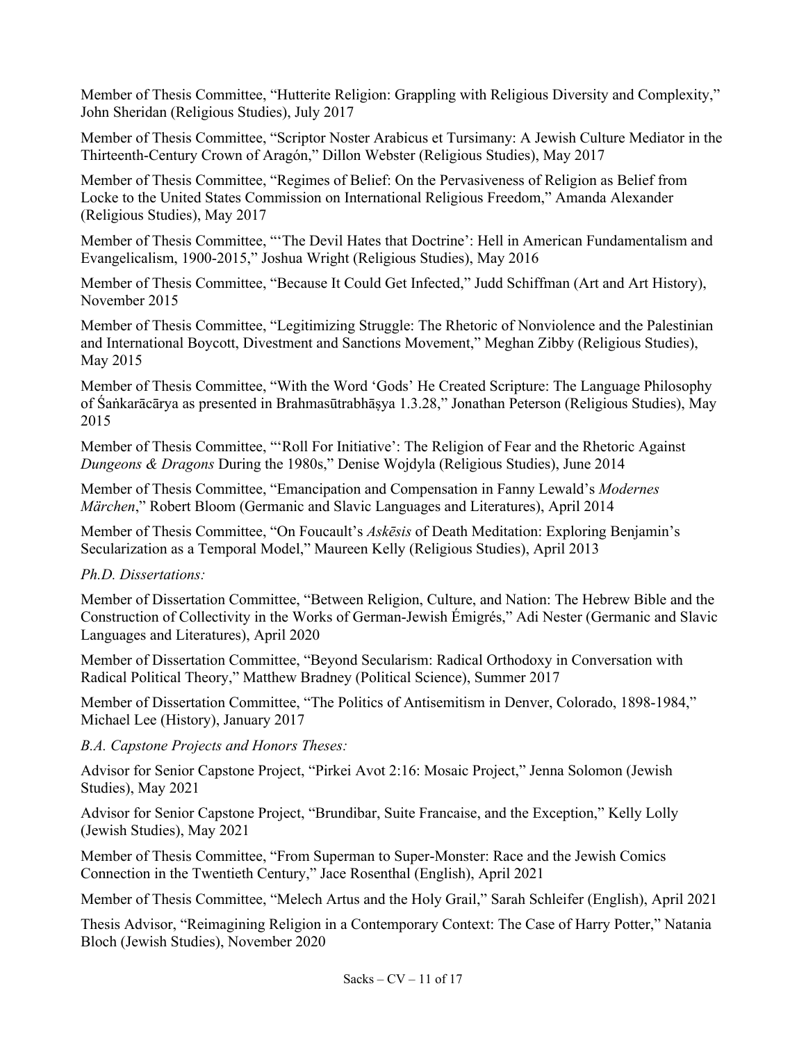Member of Thesis Committee, "Hutterite Religion: Grappling with Religious Diversity and Complexity," John Sheridan (Religious Studies), July 2017

Member of Thesis Committee, "Scriptor Noster Arabicus et Tursimany: A Jewish Culture Mediator in the Thirteenth-Century Crown of Aragón," Dillon Webster (Religious Studies), May 2017

Member of Thesis Committee, "Regimes of Belief: On the Pervasiveness of Religion as Belief from Locke to the United States Commission on International Religious Freedom," Amanda Alexander (Religious Studies), May 2017

Member of Thesis Committee, "'The Devil Hates that Doctrine': Hell in American Fundamentalism and Evangelicalism, 1900-2015," Joshua Wright (Religious Studies), May 2016

Member of Thesis Committee, "Because It Could Get Infected," Judd Schiffman (Art and Art History), November 2015

Member of Thesis Committee, "Legitimizing Struggle: The Rhetoric of Nonviolence and the Palestinian and International Boycott, Divestment and Sanctions Movement," Meghan Zibby (Religious Studies), May 2015

Member of Thesis Committee, "With the Word 'Gods' He Created Scripture: The Language Philosophy of Śaṅkarācārya as presented in Brahmasūtrabhāṣya 1.3.28," Jonathan Peterson (Religious Studies), May 2015

Member of Thesis Committee, "'Roll For Initiative': The Religion of Fear and the Rhetoric Against *Dungeons & Dragons* During the 1980s," Denise Wojdyla (Religious Studies), June 2014

Member of Thesis Committee, "Emancipation and Compensation in Fanny Lewald's *Modernes Märchen*," Robert Bloom (Germanic and Slavic Languages and Literatures), April 2014

Member of Thesis Committee, "On Foucault's *Askēsis* of Death Meditation: Exploring Benjamin's Secularization as a Temporal Model," Maureen Kelly (Religious Studies), April 2013

#### *Ph.D. Dissertations:*

Member of Dissertation Committee, "Between Religion, Culture, and Nation: The Hebrew Bible and the Construction of Collectivity in the Works of German-Jewish Émigrés," Adi Nester (Germanic and Slavic Languages and Literatures), April 2020

Member of Dissertation Committee, "Beyond Secularism: Radical Orthodoxy in Conversation with Radical Political Theory," Matthew Bradney (Political Science), Summer 2017

Member of Dissertation Committee, "The Politics of Antisemitism in Denver, Colorado, 1898-1984," Michael Lee (History), January 2017

#### *B.A. Capstone Projects and Honors Theses:*

Advisor for Senior Capstone Project, "Pirkei Avot 2:16: Mosaic Project," Jenna Solomon (Jewish Studies), May 2021

Advisor for Senior Capstone Project, "Brundibar, Suite Francaise, and the Exception," Kelly Lolly (Jewish Studies), May 2021

Member of Thesis Committee, "From Superman to Super-Monster: Race and the Jewish Comics Connection in the Twentieth Century," Jace Rosenthal (English), April 2021

Member of Thesis Committee, "Melech Artus and the Holy Grail," Sarah Schleifer (English), April 2021

Thesis Advisor, "Reimagining Religion in a Contemporary Context: The Case of Harry Potter," Natania Bloch (Jewish Studies), November 2020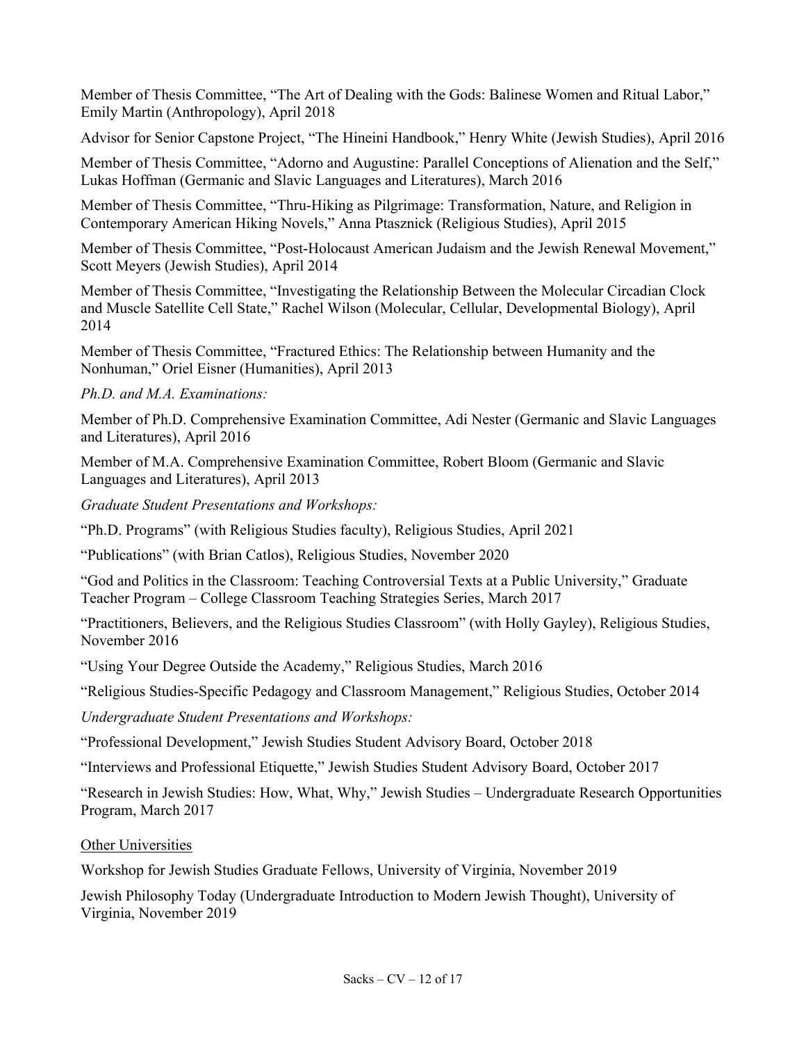Member of Thesis Committee, "The Art of Dealing with the Gods: Balinese Women and Ritual Labor," Emily Martin (Anthropology), April 2018

Advisor for Senior Capstone Project, "The Hineini Handbook," Henry White (Jewish Studies), April 2016

Member of Thesis Committee, "Adorno and Augustine: Parallel Conceptions of Alienation and the Self," Lukas Hoffman (Germanic and Slavic Languages and Literatures), March 2016

Member of Thesis Committee, "Thru-Hiking as Pilgrimage: Transformation, Nature, and Religion in Contemporary American Hiking Novels," Anna Ptasznick (Religious Studies), April 2015

Member of Thesis Committee, "Post-Holocaust American Judaism and the Jewish Renewal Movement," Scott Meyers (Jewish Studies), April 2014

Member of Thesis Committee, "Investigating the Relationship Between the Molecular Circadian Clock and Muscle Satellite Cell State," Rachel Wilson (Molecular, Cellular, Developmental Biology), April 2014

Member of Thesis Committee, "Fractured Ethics: The Relationship between Humanity and the Nonhuman," Oriel Eisner (Humanities), April 2013

# *Ph.D. and M.A. Examinations:*

Member of Ph.D. Comprehensive Examination Committee, Adi Nester (Germanic and Slavic Languages and Literatures), April 2016

Member of M.A. Comprehensive Examination Committee, Robert Bloom (Germanic and Slavic Languages and Literatures), April 2013

*Graduate Student Presentations and Workshops:*

"Ph.D. Programs" (with Religious Studies faculty), Religious Studies, April 2021

"Publications" (with Brian Catlos), Religious Studies, November 2020

"God and Politics in the Classroom: Teaching Controversial Texts at a Public University," Graduate Teacher Program – College Classroom Teaching Strategies Series, March 2017

"Practitioners, Believers, and the Religious Studies Classroom" (with Holly Gayley), Religious Studies, November 2016

"Using Your Degree Outside the Academy," Religious Studies, March 2016

"Religious Studies-Specific Pedagogy and Classroom Management," Religious Studies, October 2014

*Undergraduate Student Presentations and Workshops:*

"Professional Development," Jewish Studies Student Advisory Board, October 2018

"Interviews and Professional Etiquette," Jewish Studies Student Advisory Board, October 2017

"Research in Jewish Studies: How, What, Why," Jewish Studies – Undergraduate Research Opportunities Program, March 2017

Other Universities

Workshop for Jewish Studies Graduate Fellows, University of Virginia, November 2019

Jewish Philosophy Today (Undergraduate Introduction to Modern Jewish Thought), University of Virginia, November 2019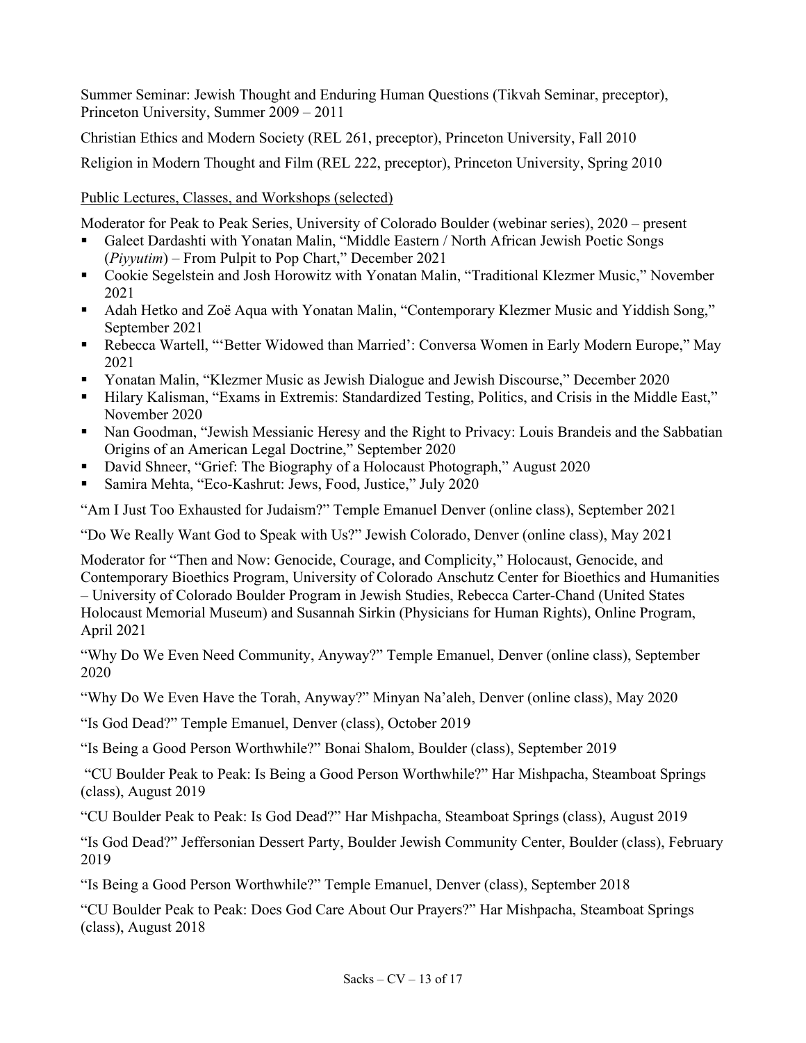Summer Seminar: Jewish Thought and Enduring Human Questions (Tikvah Seminar, preceptor), Princeton University, Summer 2009 – 2011

Christian Ethics and Modern Society (REL 261, preceptor), Princeton University, Fall 2010

Religion in Modern Thought and Film (REL 222, preceptor), Princeton University, Spring 2010

Public Lectures, Classes, and Workshops (selected)

Moderator for Peak to Peak Series, University of Colorado Boulder (webinar series), 2020 – present

- Galeet Dardashti with Yonatan Malin, "Middle Eastern / North African Jewish Poetic Songs (*Piyyutim*) – From Pulpit to Pop Chart," December 2021
- Cookie Segelstein and Josh Horowitz with Yonatan Malin, "Traditional Klezmer Music," November 2021
- Adah Hetko and Zoë Aqua with Yonatan Malin, "Contemporary Klezmer Music and Yiddish Song," September 2021
- § Rebecca Wartell, "'Better Widowed than Married': Conversa Women in Early Modern Europe," May 2021
- § Yonatan Malin, "Klezmer Music as Jewish Dialogue and Jewish Discourse," December 2020
- § Hilary Kalisman, "Exams in Extremis: Standardized Testing, Politics, and Crisis in the Middle East," November 2020
- Nan Goodman, "Jewish Messianic Heresy and the Right to Privacy: Louis Brandeis and the Sabbatian Origins of an American Legal Doctrine," September 2020
- David Shneer, "Grief: The Biography of a Holocaust Photograph," August 2020
- § Samira Mehta, "Eco-Kashrut: Jews, Food, Justice," July 2020

"Am I Just Too Exhausted for Judaism?" Temple Emanuel Denver (online class), September 2021

"Do We Really Want God to Speak with Us?" Jewish Colorado, Denver (online class), May 2021

Moderator for "Then and Now: Genocide, Courage, and Complicity," Holocaust, Genocide, and Contemporary Bioethics Program, University of Colorado Anschutz Center for Bioethics and Humanities – University of Colorado Boulder Program in Jewish Studies, Rebecca Carter-Chand (United States Holocaust Memorial Museum) and Susannah Sirkin (Physicians for Human Rights), Online Program, April 2021

"Why Do We Even Need Community, Anyway?" Temple Emanuel, Denver (online class), September 2020

"Why Do We Even Have the Torah, Anyway?" Minyan Na'aleh, Denver (online class), May 2020

"Is God Dead?" Temple Emanuel, Denver (class), October 2019

"Is Being a Good Person Worthwhile?" Bonai Shalom, Boulder (class), September 2019

"CU Boulder Peak to Peak: Is Being a Good Person Worthwhile?" Har Mishpacha, Steamboat Springs (class), August 2019

"CU Boulder Peak to Peak: Is God Dead?" Har Mishpacha, Steamboat Springs (class), August 2019

"Is God Dead?" Jeffersonian Dessert Party, Boulder Jewish Community Center, Boulder (class), February 2019

"Is Being a Good Person Worthwhile?" Temple Emanuel, Denver (class), September 2018

"CU Boulder Peak to Peak: Does God Care About Our Prayers?" Har Mishpacha, Steamboat Springs (class), August 2018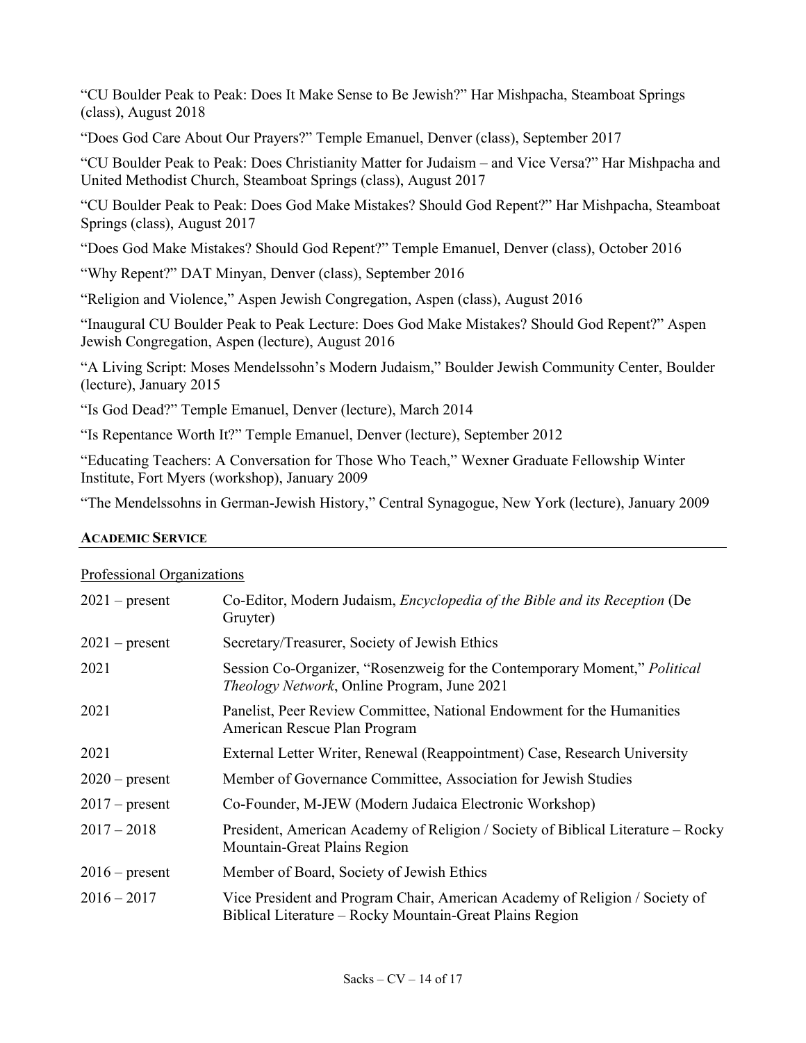"CU Boulder Peak to Peak: Does It Make Sense to Be Jewish?" Har Mishpacha, Steamboat Springs (class), August 2018

"Does God Care About Our Prayers?" Temple Emanuel, Denver (class), September 2017

"CU Boulder Peak to Peak: Does Christianity Matter for Judaism – and Vice Versa?" Har Mishpacha and United Methodist Church, Steamboat Springs (class), August 2017

"CU Boulder Peak to Peak: Does God Make Mistakes? Should God Repent?" Har Mishpacha, Steamboat Springs (class), August 2017

"Does God Make Mistakes? Should God Repent?" Temple Emanuel, Denver (class), October 2016

"Why Repent?" DAT Minyan, Denver (class), September 2016

"Religion and Violence," Aspen Jewish Congregation, Aspen (class), August 2016

"Inaugural CU Boulder Peak to Peak Lecture: Does God Make Mistakes? Should God Repent?" Aspen Jewish Congregation, Aspen (lecture), August 2016

"A Living Script: Moses Mendelssohn's Modern Judaism," Boulder Jewish Community Center, Boulder (lecture), January 2015

"Is God Dead?" Temple Emanuel, Denver (lecture), March 2014

"Is Repentance Worth It?" Temple Emanuel, Denver (lecture), September 2012

"Educating Teachers: A Conversation for Those Who Teach," Wexner Graduate Fellowship Winter Institute, Fort Myers (workshop), January 2009

"The Mendelssohns in German-Jewish History," Central Synagogue, New York (lecture), January 2009

#### **ACADEMIC SERVICE**

#### Professional Organizations

| $2021$ – present | Co-Editor, Modern Judaism, Encyclopedia of the Bible and its Reception (De<br>Gruyter)                                                  |
|------------------|-----------------------------------------------------------------------------------------------------------------------------------------|
| $2021$ – present | Secretary/Treasurer, Society of Jewish Ethics                                                                                           |
| 2021             | Session Co-Organizer, "Rosenzweig for the Contemporary Moment," Political<br><i>Theology Network</i> , Online Program, June 2021        |
| 2021             | Panelist, Peer Review Committee, National Endowment for the Humanities<br>American Rescue Plan Program                                  |
| 2021             | External Letter Writer, Renewal (Reappointment) Case, Research University                                                               |
| $2020$ – present | Member of Governance Committee, Association for Jewish Studies                                                                          |
| $2017$ – present | Co-Founder, M-JEW (Modern Judaica Electronic Workshop)                                                                                  |
| $2017 - 2018$    | President, American Academy of Religion / Society of Biblical Literature – Rocky<br>Mountain-Great Plains Region                        |
| $2016$ – present | Member of Board, Society of Jewish Ethics                                                                                               |
| $2016 - 2017$    | Vice President and Program Chair, American Academy of Religion / Society of<br>Biblical Literature – Rocky Mountain-Great Plains Region |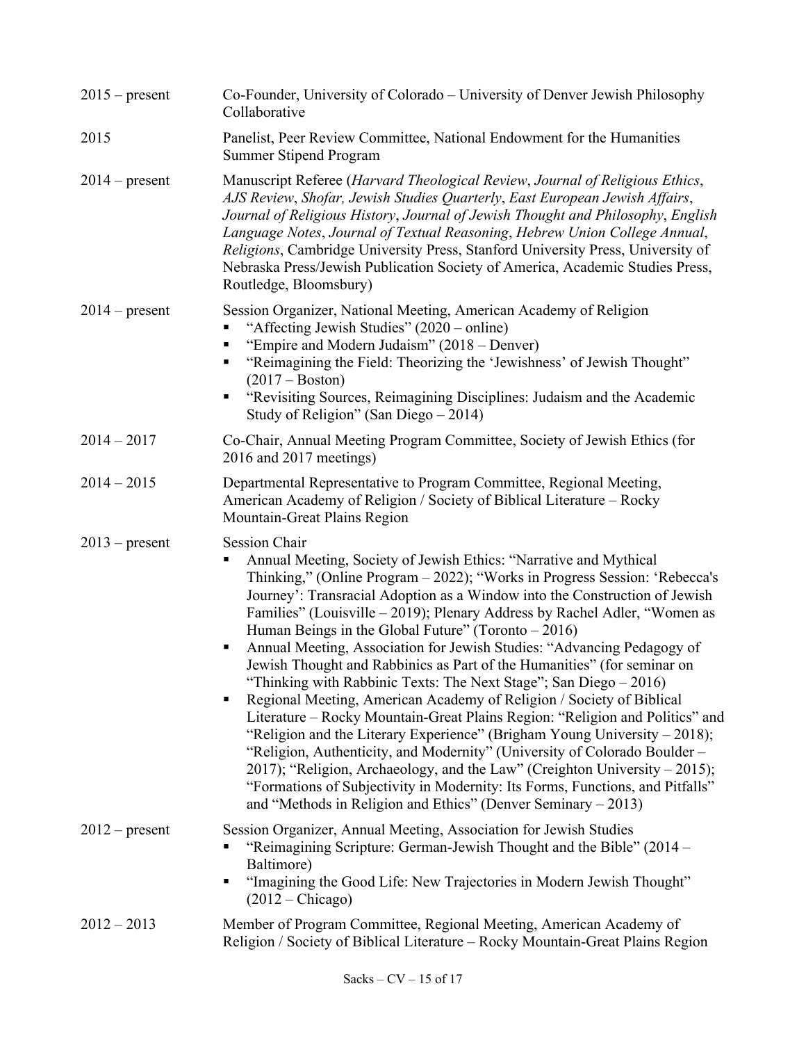| $2015$ – present | Co-Founder, University of Colorado – University of Denver Jewish Philosophy<br>Collaborative                                                                                                                                                                                                                                                                                                                                                                                                                                                                                                                                                                                                                                                                                                                                                                                                                                                                                                                                                                                                                                                                                   |
|------------------|--------------------------------------------------------------------------------------------------------------------------------------------------------------------------------------------------------------------------------------------------------------------------------------------------------------------------------------------------------------------------------------------------------------------------------------------------------------------------------------------------------------------------------------------------------------------------------------------------------------------------------------------------------------------------------------------------------------------------------------------------------------------------------------------------------------------------------------------------------------------------------------------------------------------------------------------------------------------------------------------------------------------------------------------------------------------------------------------------------------------------------------------------------------------------------|
| 2015             | Panelist, Peer Review Committee, National Endowment for the Humanities<br>Summer Stipend Program                                                                                                                                                                                                                                                                                                                                                                                                                                                                                                                                                                                                                                                                                                                                                                                                                                                                                                                                                                                                                                                                               |
| $2014$ – present | Manuscript Referee (Harvard Theological Review, Journal of Religious Ethics,<br>AJS Review, Shofar, Jewish Studies Quarterly, East European Jewish Affairs,<br>Journal of Religious History, Journal of Jewish Thought and Philosophy, English<br>Language Notes, Journal of Textual Reasoning, Hebrew Union College Annual,<br>Religions, Cambridge University Press, Stanford University Press, University of<br>Nebraska Press/Jewish Publication Society of America, Academic Studies Press,<br>Routledge, Bloomsbury)                                                                                                                                                                                                                                                                                                                                                                                                                                                                                                                                                                                                                                                     |
| $2014$ – present | Session Organizer, National Meeting, American Academy of Religion<br>"Affecting Jewish Studies" (2020 – online)<br>"Empire and Modern Judaism" (2018 – Denver)<br>"Reimagining the Field: Theorizing the 'Jewishness' of Jewish Thought"<br>$(2017 - Boston)$<br>"Revisiting Sources, Reimagining Disciplines: Judaism and the Academic<br>٠<br>Study of Religion" (San Diego $-2014$ )                                                                                                                                                                                                                                                                                                                                                                                                                                                                                                                                                                                                                                                                                                                                                                                        |
| $2014 - 2017$    | Co-Chair, Annual Meeting Program Committee, Society of Jewish Ethics (for<br>2016 and 2017 meetings)                                                                                                                                                                                                                                                                                                                                                                                                                                                                                                                                                                                                                                                                                                                                                                                                                                                                                                                                                                                                                                                                           |
| $2014 - 2015$    | Departmental Representative to Program Committee, Regional Meeting,<br>American Academy of Religion / Society of Biblical Literature - Rocky<br>Mountain-Great Plains Region                                                                                                                                                                                                                                                                                                                                                                                                                                                                                                                                                                                                                                                                                                                                                                                                                                                                                                                                                                                                   |
| $2013$ – present | Session Chair<br>Annual Meeting, Society of Jewish Ethics: "Narrative and Mythical<br>Е<br>Thinking," (Online Program – 2022); "Works in Progress Session: 'Rebecca's<br>Journey': Transracial Adoption as a Window into the Construction of Jewish<br>Families" (Louisville – 2019); Plenary Address by Rachel Adler, "Women as<br>Human Beings in the Global Future" (Toronto $-2016$ )<br>Annual Meeting, Association for Jewish Studies: "Advancing Pedagogy of<br>п<br>Jewish Thought and Rabbinics as Part of the Humanities" (for seminar on<br>"Thinking with Rabbinic Texts: The Next Stage"; San Diego - 2016)<br>Regional Meeting, American Academy of Religion / Society of Biblical<br>Literature - Rocky Mountain-Great Plains Region: "Religion and Politics" and<br>"Religion and the Literary Experience" (Brigham Young University $-2018$ );<br>"Religion, Authenticity, and Modernity" (University of Colorado Boulder –<br>2017); "Religion, Archaeology, and the Law" (Creighton University – 2015);<br>"Formations of Subjectivity in Modernity: Its Forms, Functions, and Pitfalls"<br>and "Methods in Religion and Ethics" (Denver Seminary $-2013$ ) |
| $2012$ – present | Session Organizer, Annual Meeting, Association for Jewish Studies<br>"Reimagining Scripture: German-Jewish Thought and the Bible" (2014 -<br>Baltimore)<br>"Imagining the Good Life: New Trajectories in Modern Jewish Thought"<br>٠<br>$(2012 - Chicago)$                                                                                                                                                                                                                                                                                                                                                                                                                                                                                                                                                                                                                                                                                                                                                                                                                                                                                                                     |
| $2012 - 2013$    | Member of Program Committee, Regional Meeting, American Academy of<br>Religion / Society of Biblical Literature – Rocky Mountain-Great Plains Region                                                                                                                                                                                                                                                                                                                                                                                                                                                                                                                                                                                                                                                                                                                                                                                                                                                                                                                                                                                                                           |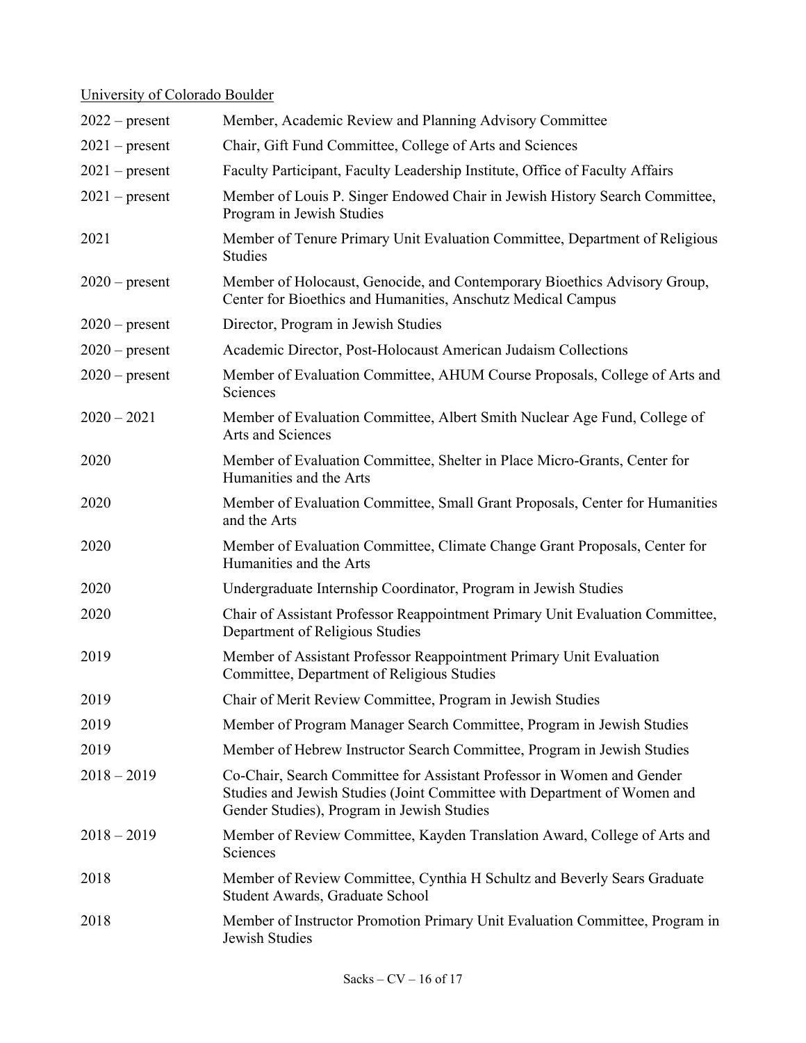# University of Colorado Boulder

| $2022$ – present | Member, Academic Review and Planning Advisory Committee                                                                                                                                          |
|------------------|--------------------------------------------------------------------------------------------------------------------------------------------------------------------------------------------------|
| $2021$ – present | Chair, Gift Fund Committee, College of Arts and Sciences                                                                                                                                         |
| $2021$ – present | Faculty Participant, Faculty Leadership Institute, Office of Faculty Affairs                                                                                                                     |
| $2021$ – present | Member of Louis P. Singer Endowed Chair in Jewish History Search Committee,<br>Program in Jewish Studies                                                                                         |
| 2021             | Member of Tenure Primary Unit Evaluation Committee, Department of Religious<br><b>Studies</b>                                                                                                    |
| $2020$ – present | Member of Holocaust, Genocide, and Contemporary Bioethics Advisory Group,<br>Center for Bioethics and Humanities, Anschutz Medical Campus                                                        |
| $2020$ – present | Director, Program in Jewish Studies                                                                                                                                                              |
| $2020$ – present | Academic Director, Post-Holocaust American Judaism Collections                                                                                                                                   |
| $2020$ – present | Member of Evaluation Committee, AHUM Course Proposals, College of Arts and<br>Sciences                                                                                                           |
| $2020 - 2021$    | Member of Evaluation Committee, Albert Smith Nuclear Age Fund, College of<br>Arts and Sciences                                                                                                   |
| 2020             | Member of Evaluation Committee, Shelter in Place Micro-Grants, Center for<br>Humanities and the Arts                                                                                             |
| 2020             | Member of Evaluation Committee, Small Grant Proposals, Center for Humanities<br>and the Arts                                                                                                     |
| 2020             | Member of Evaluation Committee, Climate Change Grant Proposals, Center for<br>Humanities and the Arts                                                                                            |
| 2020             | Undergraduate Internship Coordinator, Program in Jewish Studies                                                                                                                                  |
| 2020             | Chair of Assistant Professor Reappointment Primary Unit Evaluation Committee,<br>Department of Religious Studies                                                                                 |
| 2019             | Member of Assistant Professor Reappointment Primary Unit Evaluation<br>Committee, Department of Religious Studies                                                                                |
| 2019             | Chair of Merit Review Committee, Program in Jewish Studies                                                                                                                                       |
| 2019             | Member of Program Manager Search Committee, Program in Jewish Studies                                                                                                                            |
| 2019             | Member of Hebrew Instructor Search Committee, Program in Jewish Studies                                                                                                                          |
| $2018 - 2019$    | Co-Chair, Search Committee for Assistant Professor in Women and Gender<br>Studies and Jewish Studies (Joint Committee with Department of Women and<br>Gender Studies), Program in Jewish Studies |
| $2018 - 2019$    | Member of Review Committee, Kayden Translation Award, College of Arts and<br>Sciences                                                                                                            |
| 2018             | Member of Review Committee, Cynthia H Schultz and Beverly Sears Graduate<br>Student Awards, Graduate School                                                                                      |
| 2018             | Member of Instructor Promotion Primary Unit Evaluation Committee, Program in<br>Jewish Studies                                                                                                   |